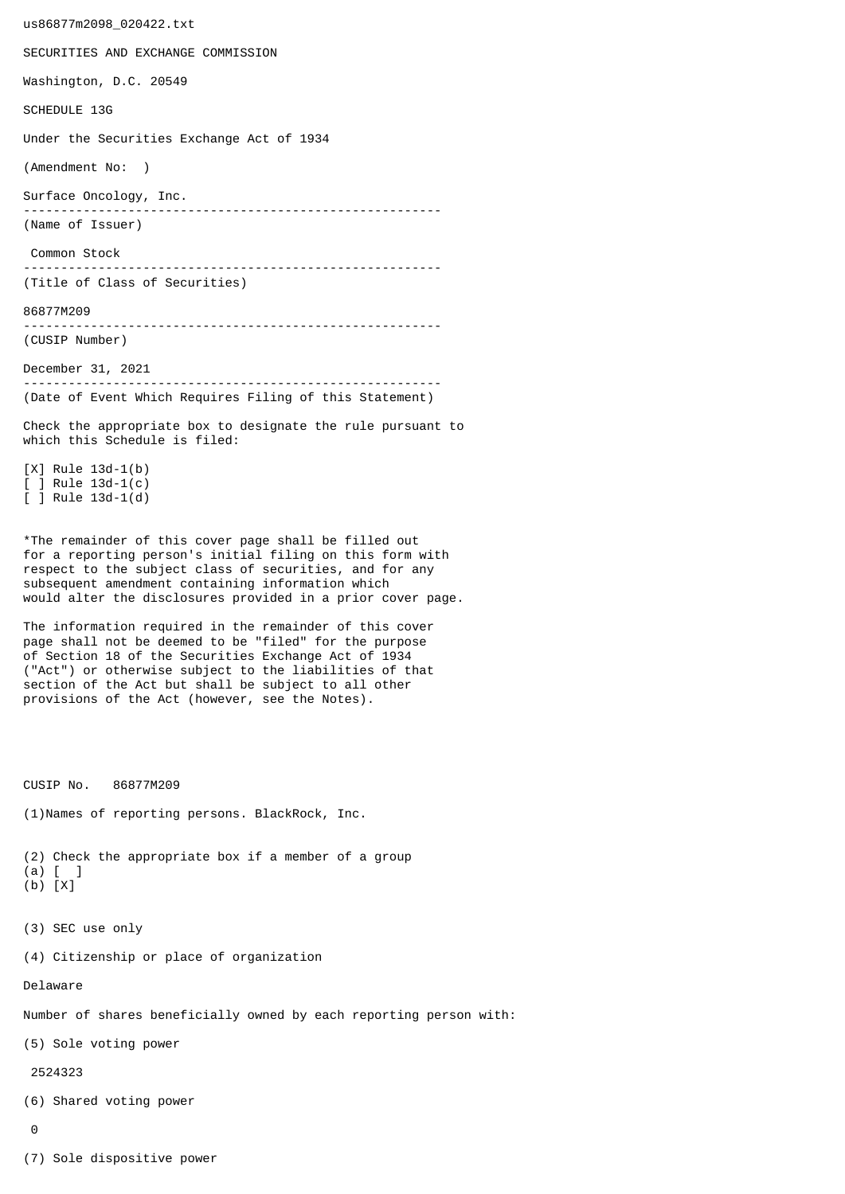us86877m2098\_020422.txt SECURITIES AND EXCHANGE COMMISSION Washington, D.C. 20549 SCHEDULE 13G Under the Securities Exchange Act of 1934 (Amendment No: ) Surface Oncology, Inc. -------------------------------------------------------- (Name of Issuer) Common Stock -------------------------------------------------------- (Title of Class of Securities) 86877M209 -------------------------------------------------------- (CUSIP Number) December 31, 2021 -------------------------------------------------------- (Date of Event Which Requires Filing of this Statement) Check the appropriate box to designate the rule pursuant to which this Schedule is filed: [X] Rule 13d-1(b) [ ] Rule 13d-1(c) [ ] Rule 13d-1(d) \*The remainder of this cover page shall be filled out for a reporting person's initial filing on this form with respect to the subject class of securities, and for any subsequent amendment containing information which would alter the disclosures provided in a prior cover page. The information required in the remainder of this cover page shall not be deemed to be "filed" for the purpose of Section 18 of the Securities Exchange Act of 1934 ("Act") or otherwise subject to the liabilities of that section of the Act but shall be subject to all other provisions of the Act (however, see the Notes). CUSIP No. 86877M209 (1)Names of reporting persons. BlackRock, Inc. (2) Check the appropriate box if a member of a group (a) [ ] (b) [X] (3) SEC use only (4) Citizenship or place of organization Delaware Number of shares beneficially owned by each reporting person with: (5) Sole voting power 2524323 (6) Shared voting power  $\Omega$ 

(7) Sole dispositive power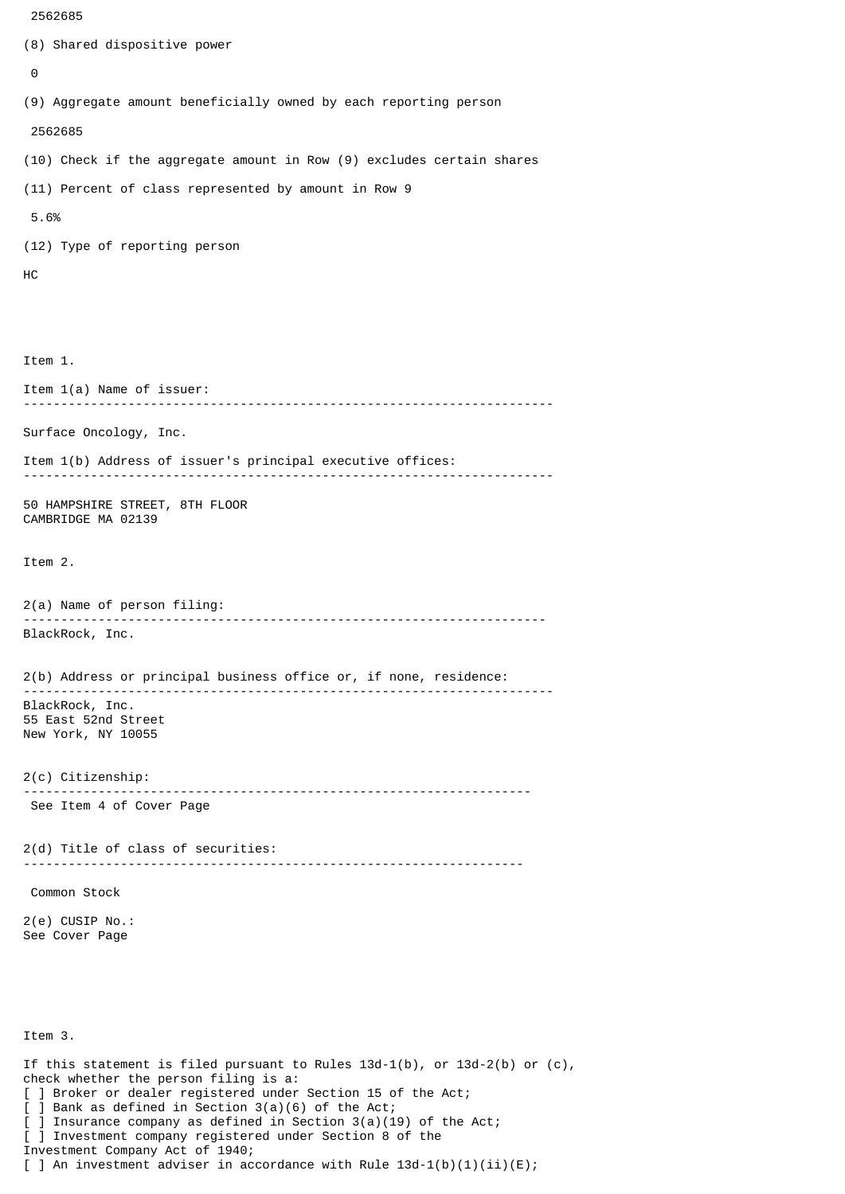```
 2562685
```

```
(8) Shared dispositive power
 \boldsymbol{\Theta}(9) Aggregate amount beneficially owned by each reporting person
  2562685
(10) Check if the aggregate amount in Row (9) excludes certain shares
(11) Percent of class represented by amount in Row 9
 5.6%
(12) Type of reporting person
HC
Item 1.
Item 1(a) Name of issuer:
                    -----------------------------------------------------------------------
Surface Oncology, Inc.
Item 1(b) Address of issuer's principal executive offices:
 -----------------------------------------------------------------------
50 HAMPSHIRE STREET, 8TH FLOOR
CAMBRIDGE MA 02139
Item 2.
2(a) Name of person filing:
               ----------------------------------------------------------------------
BlackRock, Inc.
2(b) Address or principal business office or, if none, residence:
 -----------------------------------------------------------------------
BlackRock, Inc.
55 East 52nd Street
New York, NY 10055
2(c) Citizenship:
                            --------------------------------------------------------------------
 See Item 4 of Cover Page
2(d) Title of class of securities:
                                       -------------------------------------------------------------------
 Common Stock
2(e) CUSIP No.:
See Cover Page
Item 3.
If this statement is filed pursuant to Rules 13d-1(b), or 13d-2(b) or (c),
check whether the person filing is a:
[ ] Broker or dealer registered under Section 15 of the Act;
[ ] Bank as defined in Section 3(a)(6) of the Act;
  ] Insurance company as defined in Section 3(a)(19) of the Act;
[ ] Investment company registered under Section 8 of the
Investment Company Act of 1940;
```
[ ] An investment adviser in accordance with Rule  $13d-1(b)(1)(ii)(E)$ ;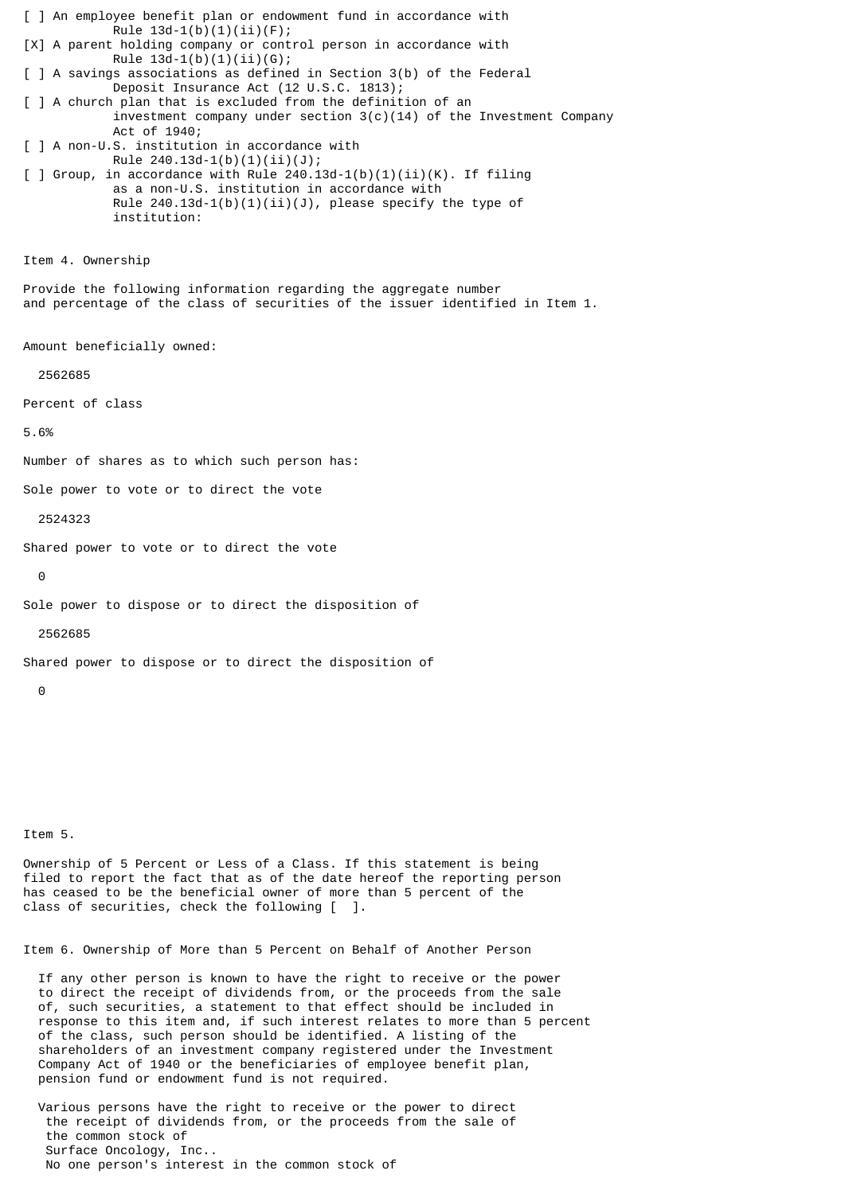[ ] An employee benefit plan or endowment fund in accordance with Rule  $13d-1(b)(1)(ii)(F);$ [X] A parent holding company or control person in accordance with Rule  $13d-1(b)(1)(ii)(G);$ [ ] A savings associations as defined in Section 3(b) of the Federal Deposit Insurance Act (12 U.S.C. 1813); [ ] A church plan that is excluded from the definition of an investment company under section  $3(c)(14)$  of the Investment Company Act of 1940; [ ] A non-U.S. institution in accordance with Rule 240.13d-1(b)(1)(ii)(J);  $\lceil$  ] Group, in accordance with Rule 240.13d-1(b)(1)(ii)(K). If filing as a non-U.S. institution in accordance with Rule  $240.13d-1(b)(1)(ii)(J)$ , please specify the type of institution: Item 4. Ownership Provide the following information regarding the aggregate number and percentage of the class of securities of the issuer identified in Item 1. Amount beneficially owned: 2562685 Percent of class 5.6% Number of shares as to which such person has: Sole power to vote or to direct the vote 2524323 Shared power to vote or to direct the vote  $\Theta$ Sole power to dispose or to direct the disposition of 2562685 Shared power to dispose or to direct the disposition of  $\Omega$ 

Item 5.

Ownership of 5 Percent or Less of a Class. If this statement is being filed to report the fact that as of the date hereof the reporting person has ceased to be the beneficial owner of more than 5 percent of the class of securities, check the following [ ].

Item 6. Ownership of More than 5 Percent on Behalf of Another Person

 If any other person is known to have the right to receive or the power to direct the receipt of dividends from, or the proceeds from the sale of, such securities, a statement to that effect should be included in response to this item and, if such interest relates to more than 5 percent of the class, such person should be identified. A listing of the shareholders of an investment company registered under the Investment Company Act of 1940 or the beneficiaries of employee benefit plan, pension fund or endowment fund is not required.

 Various persons have the right to receive or the power to direct the receipt of dividends from, or the proceeds from the sale of the common stock of Surface Oncology, Inc.. No one person's interest in the common stock of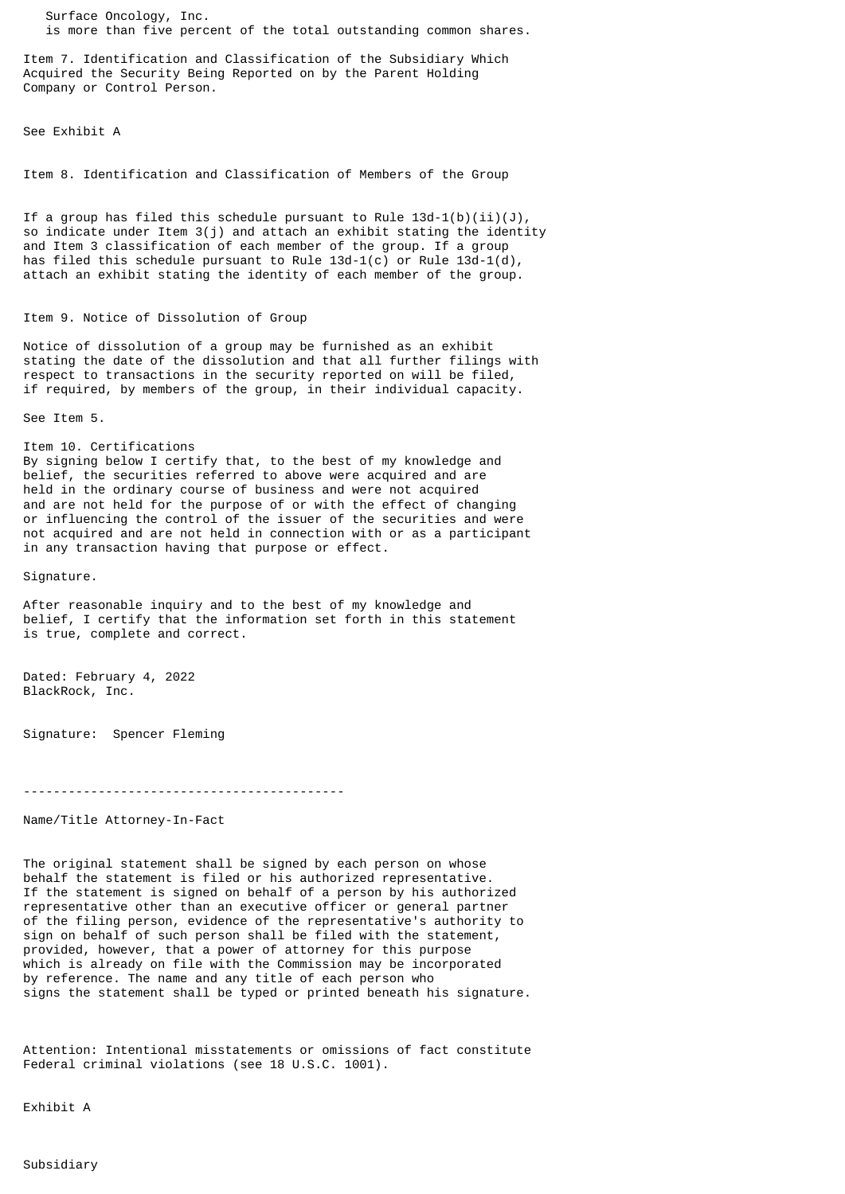Surface Oncology, Inc. is more than five percent of the total outstanding common shares.

Item 7. Identification and Classification of the Subsidiary Which Acquired the Security Being Reported on by the Parent Holding Company or Control Person.

See Exhibit A

Item 8. Identification and Classification of Members of the Group

If a group has filed this schedule pursuant to Rule  $13d-1(b)(ii)(J)$ , so indicate under Item 3(j) and attach an exhibit stating the identity and Item 3 classification of each member of the group. If a group has filed this schedule pursuant to Rule  $13d-1(c)$  or Rule  $13d-1(d)$ , attach an exhibit stating the identity of each member of the group.

## Item 9. Notice of Dissolution of Group

Notice of dissolution of a group may be furnished as an exhibit stating the date of the dissolution and that all further filings with respect to transactions in the security reported on will be filed, if required, by members of the group, in their individual capacity.

See Item 5.

Item 10. Certifications By signing below I certify that, to the best of my knowledge and belief, the securities referred to above were acquired and are held in the ordinary course of business and were not acquired and are not held for the purpose of or with the effect of changing or influencing the control of the issuer of the securities and were not acquired and are not held in connection with or as a participant

in any transaction having that purpose or effect.

Signature.

After reasonable inquiry and to the best of my knowledge and belief, I certify that the information set forth in this statement is true, complete and correct.

Dated: February 4, 2022 BlackRock, Inc.

Signature: Spencer Fleming

-------------------------------------------

Name/Title Attorney-In-Fact

The original statement shall be signed by each person on whose behalf the statement is filed or his authorized representative. If the statement is signed on behalf of a person by his authorized representative other than an executive officer or general partner of the filing person, evidence of the representative's authority to sign on behalf of such person shall be filed with the statement, provided, however, that a power of attorney for this purpose which is already on file with the Commission may be incorporated by reference. The name and any title of each person who signs the statement shall be typed or printed beneath his signature.

Attention: Intentional misstatements or omissions of fact constitute Federal criminal violations (see 18 U.S.C. 1001).

Exhibit A